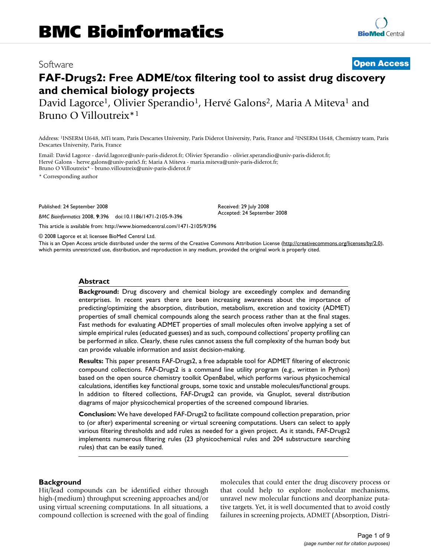# Software **[Open Access](http://www.biomedcentral.com/info/about/charter/)**

# **FAF-Drugs2: Free ADME/tox filtering tool to assist drug discovery and chemical biology projects**

David Lagorce<sup>1</sup>, Olivier Sperandio<sup>1</sup>, Hervé Galons<sup>2</sup>, Maria A Miteva<sup>1</sup> and Bruno O Villoutreix\*1

Address: 1INSERM U648, MTi team, Paris Descartes University, Paris Diderot University, Paris, France and 2INSERM U648, Chemistry team, Paris Descartes University, Paris, France

Email: David Lagorce - david.lagorce@univ-paris-diderot.fr; Olivier Sperandio - olivier.sperandio@univ-paris-diderot.fr; Hervé Galons - herve.galons@univ-paris5.fr; Maria A Miteva - maria.miteva@univ-paris-diderot.fr; Bruno O Villoutreix\* - bruno.villoutreix@univ-paris-diderot.fr

\* Corresponding author

Published: 24 September 2008

*BMC Bioinformatics* 2008, **9**:396 doi:10.1186/1471-2105-9-396

[This article is available from: http://www.biomedcentral.com/1471-2105/9/396](http://www.biomedcentral.com/1471-2105/9/396)

© 2008 Lagorce et al; licensee BioMed Central Ltd.

This is an Open Access article distributed under the terms of the Creative Commons Attribution License [\(http://creativecommons.org/licenses/by/2.0\)](http://creativecommons.org/licenses/by/2.0), which permits unrestricted use, distribution, and reproduction in any medium, provided the original work is properly cited.

Received: 29 July 2008 Accepted: 24 September 2008

#### **Abstract**

**Background:** Drug discovery and chemical biology are exceedingly complex and demanding enterprises. In recent years there are been increasing awareness about the importance of predicting/optimizing the absorption, distribution, metabolism, excretion and toxicity (ADMET) properties of small chemical compounds along the search process rather than at the final stages. Fast methods for evaluating ADMET properties of small molecules often involve applying a set of simple empirical rules (educated guesses) and as such, compound collections' property profiling can be performed *in silico*. Clearly, these rules cannot assess the full complexity of the human body but can provide valuable information and assist decision-making.

**Results:** This paper presents FAF-Drugs2, a free adaptable tool for ADMET filtering of electronic compound collections. FAF-Drugs2 is a command line utility program (e.g., written in Python) based on the open source chemistry toolkit OpenBabel, which performs various physicochemical calculations, identifies key functional groups, some toxic and unstable molecules/functional groups. In addition to filtered collections, FAF-Drugs2 can provide, via Gnuplot, several distribution diagrams of major physicochemical properties of the screened compound libraries.

**Conclusion:** We have developed FAF-Drugs2 to facilitate compound collection preparation, prior to (or after) experimental screening or virtual screening computations. Users can select to apply various filtering thresholds and add rules as needed for a given project. As it stands, FAF-Drugs2 implements numerous filtering rules (23 physicochemical rules and 204 substructure searching rules) that can be easily tuned.

#### **Background**

Hit/lead compounds can be identified either through high-(medium) throughput screening approaches and/or using virtual screening computations. In all situations, a compound collection is screened with the goal of finding molecules that could enter the drug discovery process or that could help to explore molecular mechanisms, unravel new molecular functions and deorphanize putative targets. Yet, it is well documented that to avoid costly failures in screening projects, ADMET (Absorption, Distri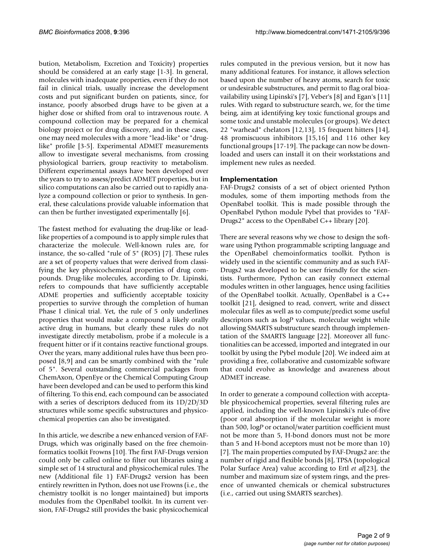bution, Metabolism, Excretion and Toxicity) properties should be considered at an early stage [1-3]. In general, molecules with inadequate properties, even if they do not fail in clinical trials, usually increase the development costs and put significant burden on patients, since, for instance, poorly absorbed drugs have to be given at a higher dose or shifted from oral to intravenous route. A compound collection may be prepared for a chemical biology project or for drug discovery, and in these cases, one may need molecules with a more "lead-like" or "druglike" profile [3-5]. Experimental ADMET measurements allow to investigate several mechanisms, from crossing physiological barriers, group reactivity to metabolism. Different experimental assays have been developed over the years to try to assess/predict ADMET properties, but in silico computations can also be carried out to rapidly analyze a compound collection or prior to synthesis. In general, these calculations provide valuable information that can then be further investigated experimentally [6].

The fastest method for evaluating the drug-like or leadlike properties of a compound is to apply simple rules that characterize the molecule. Well-known rules are, for instance, the so-called "rule of 5" (RO5) [7]. These rules are a set of property values that were derived from classifying the key physicochemical properties of drug compounds. Drug-like molecules, according to Dr. Lipinski, refers to compounds that have sufficiently acceptable ADME properties and sufficiently acceptable toxicity properties to survive through the completion of human Phase I clinical trial. Yet, the rule of 5 only underlines properties that would make a compound a likely orally active drug in humans, but clearly these rules do not investigate directly metabolism, probe if a molecule is a frequent hitter or if it contains reactive functional groups. Over the years, many additional rules have thus been proposed [8,9] and can be smartly combined with the "rule of 5". Several outstanding commercial packages from ChemAxon, OpenEye or the Chemical Computing Group have been developed and can be used to perform this kind of filtering. To this end, each compound can be associated with a series of descriptors deduced from its 1D/2D/3D structures while some specific substructures and physicochemical properties can also be investigated.

In this article, we describe a new enhanced version of FAF-Drugs, which was originally based on the free chemoinformatics toolkit Frowns [10]. The first FAF-Drugs version could only be called online to filter out libraries using a simple set of 14 structural and physicochemical rules. The new (Additional file 1) FAF-Drugs2 version has been entirely rewritten in Python, does not use Frowns (i.e., the chemistry toolkit is no longer maintained) but imports modules from the OpenBabel toolkit. In its current version, FAF-Drugs2 still provides the basic physicochemical

rules computed in the previous version, but it now has many additional features. For instance, it allows selection based upon the number of heavy atoms, search for toxic or undesirable substructures, and permit to flag oral bioavailability using Lipinski's [7], Veber's [8] and Egan's [11] rules. With regard to substructure search, we, for the time being, aim at identifying key toxic functional groups and some toxic and unstable molecules (or groups). We detect 22 "warhead" chelators [12,13], 15 frequent hitters [14], 48 promiscuous inhibitors [15,16] and 116 other key functional groups [17-19]. The package can now be downloaded and users can install it on their workstations and implement new rules as needed.

### **Implementation**

FAF-Drugs2 consists of a set of object oriented Python modules, some of them importing methods from the OpenBabel toolkit. This is made possible through the OpenBabel Python module Pybel that provides to "FAF-Drugs2" access to the OpenBabel C++ library [20].

There are several reasons why we chose to design the software using Python programmable scripting language and the OpenBabel chemoinformatics toolkit. Python is widely used in the scientific community and as such FAF-Drugs2 was developed to be user friendly for the scientists. Furthermore, Python can easily connect external modules written in other languages, hence using facilities of the OpenBabel toolkit. Actually, OpenBabel is a C++ toolkit [21], designed to read, convert, write and dissect molecular files as well as to compute/predict some useful descriptors such as log*P* values, molecular weight while allowing SMARTS substructure search through implementation of the SMARTS language [22]. Moreover all functionalities can be accessed, imported and integrated in our toolkit by using the Pybel module [20]. We indeed aim at providing a free, collaborative and customizable software that could evolve as knowledge and awareness about ADMET increase.

In order to generate a compound collection with acceptable physicochemical properties, several filtering rules are applied, including the well-known Lipinski's rule-of-five (poor oral absorption if the molecular weight is more than 500, log*P* or octanol/water partition coefficient must not be more than 5, H-bond donors must not be more than 5 and H-bond acceptors must not be more than 10) [7]. The main properties computed by FAF-Drugs2 are: the number of rigid and flexible bonds [8], TPSA (topological Polar Surface Area) value according to Ertl *et al*[23], the number and maximum size of system rings, and the presence of unwanted chemicals or chemical substructures (i.e., carried out using SMARTS searches).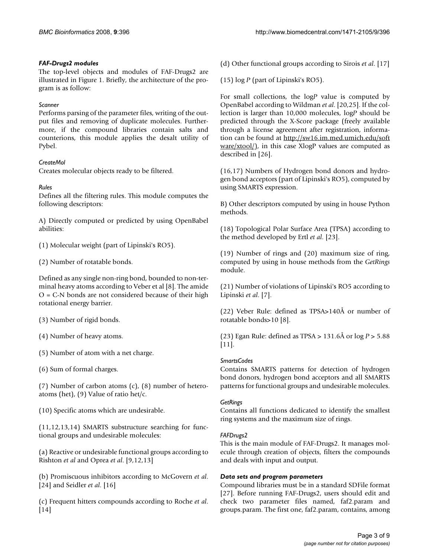#### *FAF-Drugs2 modules*

The top-level objects and modules of FAF-Drugs2 are illustrated in Figure 1. Briefly, the architecture of the program is as follow:

#### *Scanner*

Performs parsing of the parameter files, writing of the output files and removing of duplicate molecules. Furthermore, if the compound libraries contain salts and counterions, this module applies the desalt utility of Pybel.

#### *CreateMol*

Creates molecular objects ready to be filtered.

#### *Rules*

Defines all the filtering rules. This module computes the following descriptors:

A) Directly computed or predicted by using OpenBabel abilities:

(1) Molecular weight (part of Lipinski's RO5).

(2) Number of rotatable bonds.

Defined as any single non-ring bond, bounded to non-terminal heavy atoms according to Veber et al [8]. The amide  $O = C-N$  bonds are not considered because of their high rotational energy barrier.

(3) Number of rigid bonds.

(4) Number of heavy atoms.

(5) Number of atom with a net charge.

(6) Sum of formal charges.

(7) Number of carbon atoms (c), (8) number of heteroatoms (het), (9) Value of ratio het/c.

(10) Specific atoms which are undesirable.

(11,12,13,14) SMARTS substructure searching for functional groups and undesirable molecules:

(a) Reactive or undesirable functional groups according to Rishton *et al* and Oprea *et al*. [9,12,13]

(b) Promiscuous inhibitors according to McGovern *et al*. [24] and Seidler *et al*. [16]

(c) Frequent hitters compounds according to Roche *et al*. [14]

(d) Other functional groups according to Sirois *et al*. [17]

(15) log *P* (part of Lipinski's RO5).

For small collections, the log*P* value is computed by OpenBabel according to Wildman *et al*. [20,25]. If the collection is larger than 10,000 molecules, log*P* should be predicted through the X-Score package (freely available through a license agreement after registration, information can be found at [http://sw16.im.med.umich.edu/soft](http://sw16.im.med.umich.edu/software/xtool/)  $\frac{\text{ware} \times \text{tool}}{\text{,}}$  in this case XlogP values are computed as described in [26].

(16,17) Numbers of Hydrogen bond donors and hydrogen bond acceptors (part of Lipinski's RO5), computed by using SMARTS expression.

B) Other descriptors computed by using in house Python methods.

(18) Topological Polar Surface Area (TPSA) according to the method developed by Ertl *et al*. [23].

(19) Number of rings and (20) maximum size of ring, computed by using in house methods from the *GetRings* module.

(21) Number of violations of Lipinski's RO5 according to Lipinski *et al*. [7].

(22) Veber Rule: defined as TPSA>140Å or number of rotatable bonds>10 [8].

(23) Egan Rule: defined as TPSA > 131.6Å or log *P* > 5.88 [11].

#### *SmartsCodes*

Contains SMARTS patterns for detection of hydrogen bond donors, hydrogen bond acceptors and all SMARTS patterns for functional groups and undesirable molecules.

#### *GetRings*

Contains all functions dedicated to identify the smallest ring systems and the maximum size of rings.

#### *FAFDrugs2*

This is the main module of FAF-Drugs2. It manages molecule through creation of objects, filters the compounds and deals with input and output.

#### *Data sets and program parameters*

Compound libraries must be in a standard SDFile format [27]. Before running FAF-Drugs2, users should edit and check two parameter files named, faf2.param and groups.param. The first one, faf2.param, contains, among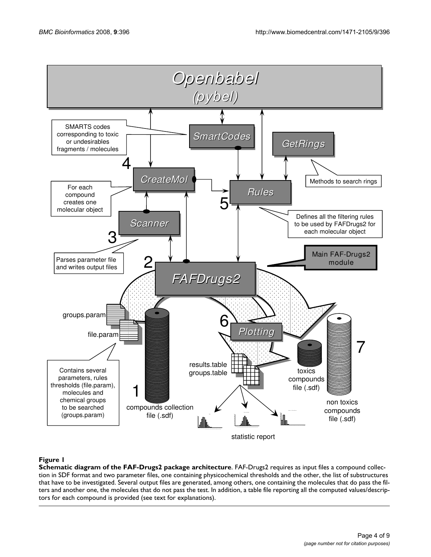

#### Figure 1

**Schematic diagram of the FAF-Drugs2 package architecture**. FAF-Drugs2 requires as input files a compound collection in SDF format and two parameter files, one containing physicochemical thresholds and the other, the list of substructures that have to be investigated. Several output files are generated, among others, one containing the molecules that do pass the filters and another one, the molecules that do not pass the test. In addition, a table file reporting all the computed values/descriptors for each compound is provided (see text for explanations).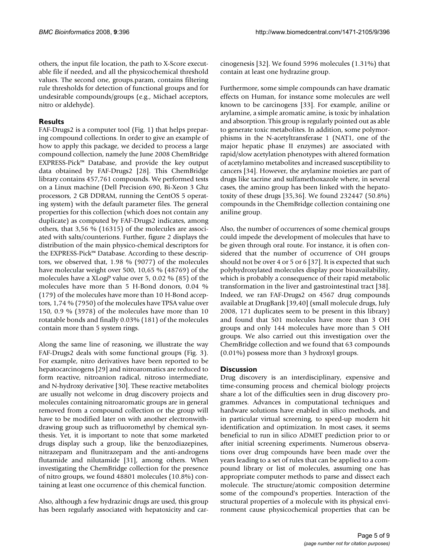others, the input file location, the path to X-Score executable file if needed, and all the physicochemical threshold values. The second one, groups.param, contains filtering rule thresholds for detection of functional groups and for undesirable compounds/groups (e.g., Michael acceptors, nitro or aldehyde).

### **Results**

FAF-Drugs2 is a computer tool (Fig. 1) that helps preparing compound collections. In order to give an example of how to apply this package, we decided to process a large compound collection, namely the June 2008 ChemBridge EXPRESS-Pick™ Database, and provide the key output data obtained by FAF-Drugs2 [28]. This ChemBridge library contains 457,761 compounds. We performed tests on a Linux machine (Dell Precision 690, Bi-Xeon 3 Ghz processors, 2 GB DDRAM, running the CentOS 5 operating system) with the default parameter files. The general properties for this collection (which does not contain any duplicate) as computed by FAF-Drugs2 indicates, among others, that 3,56 % (16315) of the molecules are associated with salts/counterions. Further, figure 2 displays the distribution of the main physico-chemical descriptors for the EXPRESS-Pick™ Database. According to these descriptors, we observed that, 1.98 % (9077) of the molecules have molecular weight over 500, 10,65 % (48769) of the molecules have a XLog*P* value over 5, 0.02 % (85) of the molecules have more than 5 H-Bond donors, 0.04 % (179) of the molecules have more than 10 H-Bond acceptors, 1,74 % (7950) of the molecules have TPSA value over 150, 0.9 % (3978) of the molecules have more than 10 rotatable bonds and finally 0.03% (181) of the molecules contain more than 5 system rings.

Along the same line of reasoning, we illustrate the way FAF-Drugs2 deals with some functional groups (Fig. 3). For example, nitro derivatives have been reported to be hepatocarcinogens [29] and nitroaromatics are reduced to form reactive, nitroanion radical, nitroso intermediate, and N-hydroxy derivative [30]. These reactive metabolites are usually not welcome in drug discovery projects and molecules containing nitroaromatic groups are in general removed from a compound collection or the group will have to be modified later on with another electronwithdrawing group such as trifluoromethyl by chemical synthesis. Yet, it is important to note that some marketed drugs display such a group, like the benzodiazepines, nitrazepam and flunitrazepam and the anti-androgens flutamide and nilutamide [31], among others. When investigating the ChemBridge collection for the presence of nitro groups, we found 48801 molecules (10.8%) containing at least one occurrence of this chemical function.

Also, although a few hydrazinic drugs are used, this group has been regularly associated with hepatoxicity and carcinogenesis [32]. We found 5996 molecules (1.31%) that contain at least one hydrazine group.

Furthermore, some simple compounds can have dramatic effects on Human, for instance some molecules are well known to be carcinogens [33]. For example, aniline or arylamine, a simple aromatic amine, is toxic by inhalation and absorption. This group is regularly pointed out as able to generate toxic metabolites. In addition, some polymorphisms in the N-acetyltransferase 1 (NAT1, one of the major hepatic phase II enzymes) are associated with rapid/slow acetylation phenotypes with altered formation of acetylamino metabolites and increased susceptibility to cancers [34]. However, the arylamine moieties are part of drugs like tacrine and sulfamethoxazole where, in several cases, the amino group has been linked with the hepatotoxity of these drugs [35,36]. We found 232447 (50.8%) compounds in the ChemBridge collection containing one aniline group.

Also, the number of occurrences of some chemical groups could impede the development of molecules that have to be given through oral route. For instance, it is often considered that the number of occurrence of OH groups should not be over 4 or 5 or 6 [37]. It is expected that such polyhydroxylated molecules display poor bioavailability, which is probably a consequence of their rapid metabolic transformation in the liver and gastrointestinal tract [38]. Indeed, we ran FAF-Drugs2 on 4567 drug compounds available at DrugBank [39,40] (small molecule drugs, July 2008, 171 duplicates seem to be present in this library) and found that 501 molecules have more than 3 OH groups and only 144 molecules have more than 5 OH groups. We also carried out this investigation over the ChemBridge collection and we found that 63 compounds (0.01%) possess more than 3 hydroxyl groups.

#### **Discussion**

Drug discovery is an interdisciplinary, expensive and time-consuming process and chemical biology projects share a lot of the difficulties seen in drug discovery programmes. Advances in computational techniques and hardware solutions have enabled in silico methods, and in particular virtual screening, to speed-up modern hit identification and optimization. In most cases, it seems beneficial to run in silico ADMET prediction prior to or after initial screening experiments. Numerous observations over drug compounds have been made over the years leading to a set of rules that can be applied to a compound library or list of molecules, assuming one has appropriate computer methods to parse and dissect each molecule. The structure/atomic composition determine some of the compound's properties. Interaction of the structural properties of a molecule with its physical environment cause physicochemical properties that can be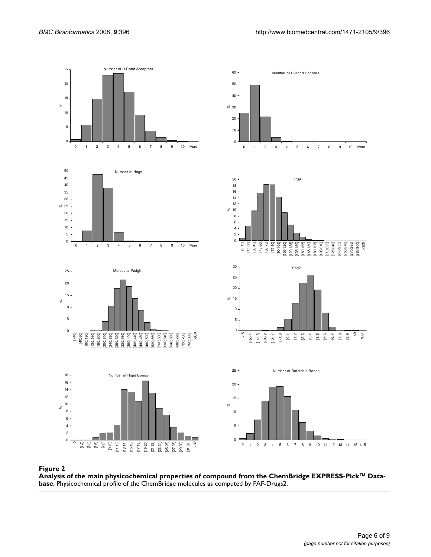

Analysis of the main physicochemical **Figure 2** properties of compound from the ChemBridge EXPRESS-Pick™ Database

**Analysis of the main physicochemical properties of compound from the ChemBridge EXPRESS-Pick™ Database**. Physicochemical profile of the ChemBridge molecules as computed by FAF-Drugs2.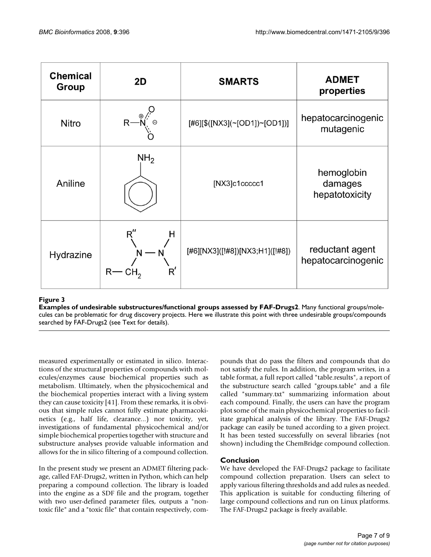| <b>Chemical</b><br>Group | 2D                              | <b>SMARTS</b>                   | <b>ADMET</b><br>properties              |
|--------------------------|---------------------------------|---------------------------------|-----------------------------------------|
| <b>Nitro</b>             |                                 | [#6][\$([NX3](~[OD1])~[OD1])]   | hepatocarcinogenic<br>mutagenic         |
| Aniline                  | NH <sub>2</sub>                 | [NX3]c1ccccc1                   | hemoglobin<br>damages<br>hepatotoxicity |
| Hydrazine                | R''<br>н<br>$\mathsf{R}'$<br>R۰ | [#6][NX3]([!#8])[NX3;H1]([!#8]) | reductant agent<br>hepatocarcinogenic   |

# Examples of undesirable s **Figure 3** ubstructures/functional groups assessed by FAF-Drugs2

**Examples of undesirable substructures/functional groups assessed by FAF-Drugs2**. Many functional groups/molecules can be problematic for drug discovery projects. Here we illustrate this point with three undesirable groups/compounds searched by FAF-Drugs2 (see Text for details).

measured experimentally or estimated in silico. Interactions of the structural properties of compounds with molecules/enzymes cause biochemical properties such as metabolism. Ultimately, when the physicochemical and the biochemical properties interact with a living system they can cause toxicity [41]. From these remarks, it is obvious that simple rules cannot fully estimate pharmacokinetics (e.g., half life, clearance...) nor toxicity, yet, investigations of fundamental physicochemical and/or simple biochemical properties together with structure and substructure analyses provide valuable information and allows for the in silico filtering of a compound collection.

In the present study we present an ADMET filtering package, called FAF-Drugs2, written in Python, which can help preparing a compound collection. The library is loaded into the engine as a SDF file and the program, together with two user-defined parameter files, outputs a "nontoxic file" and a "toxic file" that contain respectively, compounds that do pass the filters and compounds that do not satisfy the rules. In addition, the program writes, in a table format, a full report called "table.results", a report of the substructure search called "groups.table" and a file called "summary.txt" summarizing information about each compound. Finally, the users can have the program plot some of the main physicochemical properties to facilitate graphical analysis of the library. The FAF-Drugs2 package can easily be tuned according to a given project. It has been tested successfully on several libraries (not shown) including the ChemBridge compound collection.

# **Conclusion**

We have developed the FAF-Drugs2 package to facilitate compound collection preparation. Users can select to apply various filtering thresholds and add rules as needed. This application is suitable for conducting filtering of large compound collections and run on Linux platforms. The FAF-Drugs2 package is freely available.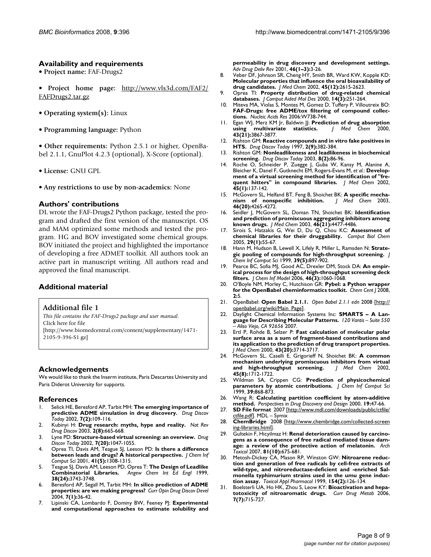#### **Availability and requirements**

• **Project name:** FAF-Drugs2

• **Project home page:** [http://www.vls3d.com/FAF2/](http://www.vls3d.com/FAF2/FAFDrugs2.tar.gz) [FAFDrugs2.tar.gz](http://www.vls3d.com/FAF2/FAFDrugs2.tar.gz)

- **Operating system(s):** Linux
- **Programming language:** Python

• **Other requirements:** Python 2.5.1 or higher, OpenBabel 2.1.1, GnuPlot 4.2.3 (optional), X-Score (optional).

• **License:** GNU GPL

• **Any restrictions to use by non-academics:** None

#### **Authors' contributions**

DL wrote the FAF-Drugs2 Python package, tested the program and drafted the first version of the manuscript. OS and MAM optimized some methods and tested the program. HG and BOV investigated some chemical groups. BOV initiated the project and highlighted the importance of developing a free ADMET toolkit. All authors took an active part in manuscript writing. All authors read and approved the final manuscript.

#### **Additional material**

#### **Additional file 1**

*This file contains the FAF-Drugs2 package and user manual.* Click here for file [\[http://www.biomedcentral.com/content/supplementary/1471-](http://www.biomedcentral.com/content/supplementary/1471-2105-9-396-S1.gz) 2105-9-396-S1.gz]

#### **Acknowledgements**

We would like to thank the Inserm institute, Paris Descartes University and Paris Diderot University for supports.

#### **References**

- 1. Selick HE, Beresford AP, Tarbit MH: **[The emerging importance of](http://www.ncbi.nlm.nih.gov/entrez/query.fcgi?cmd=Retrieve&db=PubMed&dopt=Abstract&list_uids=11790621) [predictive ADME simulation in drug discovery.](http://www.ncbi.nlm.nih.gov/entrez/query.fcgi?cmd=Retrieve&db=PubMed&dopt=Abstract&list_uids=11790621)** *Drug Discov Today* 2002, **7(2):**109-116.
- 2. Kubinyi H: **[Drug research: myths, hype and reality.](http://www.ncbi.nlm.nih.gov/entrez/query.fcgi?cmd=Retrieve&db=PubMed&dopt=Abstract&list_uids=12904816)** *Nat Rev Drug Discov* 2003, **2(8):**665-668.
- 3. Lyne PD: **[Structure-based virtual screening: an overview.](http://www.ncbi.nlm.nih.gov/entrez/query.fcgi?cmd=Retrieve&db=PubMed&dopt=Abstract&list_uids=12546894)** *Drug Discov Today* 2002, **7(20):**1047-1055.
- 4. Oprea TI, Davis AM, Teague SJ, Leeson PD: **[Is there a difference](http://www.ncbi.nlm.nih.gov/entrez/query.fcgi?cmd=Retrieve&db=PubMed&dopt=Abstract&list_uids=11604031) [between leads and drugs? A historical perspective.](http://www.ncbi.nlm.nih.gov/entrez/query.fcgi?cmd=Retrieve&db=PubMed&dopt=Abstract&list_uids=11604031)** *J Chem Inf Comput Sci* 2001, **41(5):**1308-1315.
- 5. Teague SJ, Davis AM, Leeson PD, Oprea T: **[The Design of Leadlike](http://www.ncbi.nlm.nih.gov/entrez/query.fcgi?cmd=Retrieve&db=PubMed&dopt=Abstract&list_uids=10649345) [Combinatorial Libraries.](http://www.ncbi.nlm.nih.gov/entrez/query.fcgi?cmd=Retrieve&db=PubMed&dopt=Abstract&list_uids=10649345)** *Angew Chem Int Ed Engl* 1999, **38(24):**3743-3748.
- 6. Beresford AP, Segall M, Tarbit MH: **[In silico prediction of ADME](http://www.ncbi.nlm.nih.gov/entrez/query.fcgi?cmd=Retrieve&db=PubMed&dopt=Abstract&list_uids=14982146) [properties: are we making progress?](http://www.ncbi.nlm.nih.gov/entrez/query.fcgi?cmd=Retrieve&db=PubMed&dopt=Abstract&list_uids=14982146)** *Curr Opin Drug Discov Devel* 2004, **7(1):**36-42.
- 7. Lipinski CA, Lombardo F, Dominy BW, Feeney PJ: **[Experimental](http://www.ncbi.nlm.nih.gov/entrez/query.fcgi?cmd=Retrieve&db=PubMed&dopt=Abstract&list_uids=11259830) [and computational approaches to estimate solubility and](http://www.ncbi.nlm.nih.gov/entrez/query.fcgi?cmd=Retrieve&db=PubMed&dopt=Abstract&list_uids=11259830)**

**[permeability in drug discovery and development settings.](http://www.ncbi.nlm.nih.gov/entrez/query.fcgi?cmd=Retrieve&db=PubMed&dopt=Abstract&list_uids=11259830)** *Adv Drug Deliv Rev* 2001, **46(1–3):**3-26.

- 8. Veber DF, Johnson SR, Cheng HY, Smith BR, Ward KW, Kopple KD: **[Molecular properties that influence the oral bioavailability of](http://www.ncbi.nlm.nih.gov/entrez/query.fcgi?cmd=Retrieve&db=PubMed&dopt=Abstract&list_uids=12036371) [drug candidates.](http://www.ncbi.nlm.nih.gov/entrez/query.fcgi?cmd=Retrieve&db=PubMed&dopt=Abstract&list_uids=12036371)** *J Med Chem* 2002, **45(12):**2615-2623.
- 9. Oprea TI: **[Property distribution of drug-related chemical](http://www.ncbi.nlm.nih.gov/entrez/query.fcgi?cmd=Retrieve&db=PubMed&dopt=Abstract&list_uids=10756480) [databases.](http://www.ncbi.nlm.nih.gov/entrez/query.fcgi?cmd=Retrieve&db=PubMed&dopt=Abstract&list_uids=10756480)** *J Comput Aided Mol Des* 2000, **14(3):**251-264.
- 10. Miteva MA, Violas S, Montes M, Gomez D, Tuffery P, Villoutreix BO: **[FAF-Drugs: free ADME/tox filtering of compound collec](http://www.ncbi.nlm.nih.gov/entrez/query.fcgi?cmd=Retrieve&db=PubMed&dopt=Abstract&list_uids=16845110)[tions.](http://www.ncbi.nlm.nih.gov/entrez/query.fcgi?cmd=Retrieve&db=PubMed&dopt=Abstract&list_uids=16845110)** *Nucleic Acids Res* 2006:W738-744.
- 11. Egan WJ, Merz KM Jr, Baldwin JJ: **[Prediction of drug absorption](http://www.ncbi.nlm.nih.gov/entrez/query.fcgi?cmd=Retrieve&db=PubMed&dopt=Abstract&list_uids=11052792)**  $u$ sing multivariate statistics. **43(21):**3867-3877.
- 12. Rishton GM: **Reactive compounds and in vitro fake positives in HTS.** *Drug Discov Today* 1997, **2(9):**382-384.
- 13. Rishton GM: **[Nonleadlikeness and leadlikeness in biochemical](http://www.ncbi.nlm.nih.gov/entrez/query.fcgi?cmd=Retrieve&db=PubMed&dopt=Abstract&list_uids=12565011) [screening.](http://www.ncbi.nlm.nih.gov/entrez/query.fcgi?cmd=Retrieve&db=PubMed&dopt=Abstract&list_uids=12565011)** *Drug Discov Today* 2003, **8(2):**86-96.
- 14. Roche O, Schneider P, Zuegge J, Guba W, Kansy M, Alanine A, Bleicher K, Danel F, Gutknecht EM, Rogers-Evans M, *et al.*: **[Develop](http://www.ncbi.nlm.nih.gov/entrez/query.fcgi?cmd=Retrieve&db=PubMed&dopt=Abstract&list_uids=11754585)[ment of a virtual screening method for identification of "fre](http://www.ncbi.nlm.nih.gov/entrez/query.fcgi?cmd=Retrieve&db=PubMed&dopt=Abstract&list_uids=11754585)[quent hitters" in compound libraries.](http://www.ncbi.nlm.nih.gov/entrez/query.fcgi?cmd=Retrieve&db=PubMed&dopt=Abstract&list_uids=11754585)** *J Med Chem* 2002, **45(1):**137-142.
- 15. McGovern SL, Helfand BT, Feng B, Shoichet BK: **A specific mecha-**<br> **nism of nonspecific inhibition.** *J Med Chem* 2003, [nism of nonspecific inhibition.](http://www.ncbi.nlm.nih.gov/entrez/query.fcgi?cmd=Retrieve&db=PubMed&dopt=Abstract&list_uids=13678405) **46(20):**4265-4272.
- 16. Seidler J, McGovern SL, Doman TN, Shoichet BK: **[Identification](http://www.ncbi.nlm.nih.gov/entrez/query.fcgi?cmd=Retrieve&db=PubMed&dopt=Abstract&list_uids=14521410) [and prediction of promiscuous aggregating inhibitors among](http://www.ncbi.nlm.nih.gov/entrez/query.fcgi?cmd=Retrieve&db=PubMed&dopt=Abstract&list_uids=14521410) [known drugs.](http://www.ncbi.nlm.nih.gov/entrez/query.fcgi?cmd=Retrieve&db=PubMed&dopt=Abstract&list_uids=14521410)** *J Med Chem* 2003, **46(21):**4477-4486.
- 17. Sirois S, Hatzakis G, Wei D, Du Q, Chou KC: **[Assessment of](http://www.ncbi.nlm.nih.gov/entrez/query.fcgi?cmd=Retrieve&db=PubMed&dopt=Abstract&list_uids=15680586) [chemical libraries for their druggability.](http://www.ncbi.nlm.nih.gov/entrez/query.fcgi?cmd=Retrieve&db=PubMed&dopt=Abstract&list_uids=15680586)** *Comput Biol Chem* 2005, **29(1):**55-67.
- 18. Hann M, Hudson B, Lewell X, Lifely R, Miller L, Ramsden N: **[Strate](http://www.ncbi.nlm.nih.gov/entrez/query.fcgi?cmd=Retrieve&db=PubMed&dopt=Abstract&list_uids=10529988)[gic pooling of compounds for high-throughput screening.](http://www.ncbi.nlm.nih.gov/entrez/query.fcgi?cmd=Retrieve&db=PubMed&dopt=Abstract&list_uids=10529988)** *J Chem Inf Comput Sci* 1999, **39(5):**897-902.
- 19. Pearce BC, Sofia MJ, Good AC, Drexler DM, Stock DA: **[An empir](http://www.ncbi.nlm.nih.gov/entrez/query.fcgi?cmd=Retrieve&db=PubMed&dopt=Abstract&list_uids=16711725)[ical process for the design of high-throughput screening deck](http://www.ncbi.nlm.nih.gov/entrez/query.fcgi?cmd=Retrieve&db=PubMed&dopt=Abstract&list_uids=16711725) [filters.](http://www.ncbi.nlm.nih.gov/entrez/query.fcgi?cmd=Retrieve&db=PubMed&dopt=Abstract&list_uids=16711725)** *J Chem Inf Model* 2006, **46(3):**1060-1068.
- 20. O'Boyle NM, Morley C, Hutchison GR: **[Pybel: a Python wrapper](http://www.ncbi.nlm.nih.gov/entrez/query.fcgi?cmd=Retrieve&db=PubMed&dopt=Abstract&list_uids=18328109) [for the OpenBabel cheminformatics toolkit.](http://www.ncbi.nlm.nih.gov/entrez/query.fcgi?cmd=Retrieve&db=PubMed&dopt=Abstract&list_uids=18328109)** *Chem Cent J* 2008, **2:**5.
- 21. OpenBabel: **Open Babel 2.1.1.** *Open Babel 2.1.1 edn* 2008 [\[http://](http://openbabel.org/wiki/Main_Page) [openbabel.org/wiki/Main\\_Page\]](http://openbabel.org/wiki/Main_Page).
- 22. Daylight Chemical Information Systems Inc: **SMARTS A Language for Describing Molecular Patterns.** *120 Vantis – Suite 550 – Aliso Viejo, CA 92656* 2007.
- 23. Ertl P, Rohde B, Selzer P: **[Fast calculation of molecular polar](http://www.ncbi.nlm.nih.gov/entrez/query.fcgi?cmd=Retrieve&db=PubMed&dopt=Abstract&list_uids=11020286) [surface area as a sum of fragment-based contributions and](http://www.ncbi.nlm.nih.gov/entrez/query.fcgi?cmd=Retrieve&db=PubMed&dopt=Abstract&list_uids=11020286) its application to the prediction of drug transport properties.** *J Med Chem* 2000, **43(20):**3714-3717.
- 24. McGovern SL, Caselli E, Grigorieff N, Shoichet BK: **[A common](http://www.ncbi.nlm.nih.gov/entrez/query.fcgi?cmd=Retrieve&db=PubMed&dopt=Abstract&list_uids=11931626) [mechanism underlying promiscuous inhibitors from virtual](http://www.ncbi.nlm.nih.gov/entrez/query.fcgi?cmd=Retrieve&db=PubMed&dopt=Abstract&list_uids=11931626) [and high-throughput screening.](http://www.ncbi.nlm.nih.gov/entrez/query.fcgi?cmd=Retrieve&db=PubMed&dopt=Abstract&list_uids=11931626)** *J Med Chem* 2002, **45(8):**1712-1722.
- 25. Wildman SA, Crippen CG: **Prediction of physicochemical parameters by atomic contributions.** *J Chem Inf Comput Sci* 1999, **39:**868-873.
- 26. Wang R: **Calculating partition coefficient by atom-additive method.** *Perspectives in Drug Discovery and Design* 2000, **19:**47-66.
- 27. **SD File format** 2007 [\[http://www.mdl.com/downloads/public/ctfile/](http://www.mdl.com/downloads/public/ctfile/ctfile.pdf) [ctfile.pdf](http://www.mdl.com/downloads/public/ctfile/ctfile.pdf)]. MDL - Symix
- 28. **ChemBridge** 2008 [\[http://www.chembridge.com/collected-screen](http://www.chembridge.com/collected-screening-libraries.html) [ing-libraries.html](http://www.chembridge.com/collected-screening-libraries.html)].
- 29. Gultekin F, Hicyilmaz H: **[Renal deterioration caused by carcino](http://www.ncbi.nlm.nih.gov/entrez/query.fcgi?cmd=Retrieve&db=PubMed&dopt=Abstract&list_uids=17823789)[gens as a consequence of free radical mediated tissue dam](http://www.ncbi.nlm.nih.gov/entrez/query.fcgi?cmd=Retrieve&db=PubMed&dopt=Abstract&list_uids=17823789)[age: a review of the protective action of melatonin.](http://www.ncbi.nlm.nih.gov/entrez/query.fcgi?cmd=Retrieve&db=PubMed&dopt=Abstract&list_uids=17823789)** *Arch Toxicol* 2007, **81(10):**675-681.
- 30. Metosh-Dickey CA, Mason RP, Winston GW: **[Nitroarene reduc](http://www.ncbi.nlm.nih.gov/entrez/query.fcgi?cmd=Retrieve&db=PubMed&dopt=Abstract&list_uids=9925796)tion and generation of free radicals by cell-free extracts of [wild-type, and nitroreductase-deficient and -enriched Sal](http://www.ncbi.nlm.nih.gov/entrez/query.fcgi?cmd=Retrieve&db=PubMed&dopt=Abstract&list_uids=9925796)monella typhimurium strains used in the umu gene induc[tion assay.](http://www.ncbi.nlm.nih.gov/entrez/query.fcgi?cmd=Retrieve&db=PubMed&dopt=Abstract&list_uids=9925796)** *Toxicol Appl Pharmacol* 1999, **154(2):**126-134.
- 31. Boelsterli UA, Ho HK, Zhou S, Leow KY: **[Bioactivation and hepa](http://www.ncbi.nlm.nih.gov/entrez/query.fcgi?cmd=Retrieve&db=PubMed&dopt=Abstract&list_uids=17073576)[totoxicity of nitroaromatic drugs.](http://www.ncbi.nlm.nih.gov/entrez/query.fcgi?cmd=Retrieve&db=PubMed&dopt=Abstract&list_uids=17073576)** *Curr Drug Metab* 2006, **7(7):**715-727.